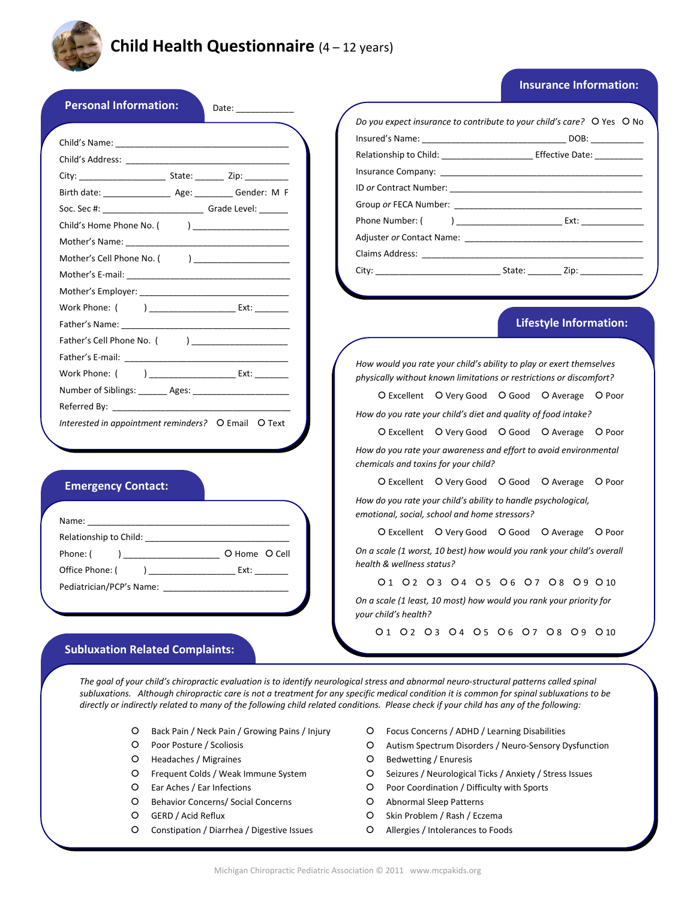

# **Child Health Questionnaire** (4 – 12 years)

# **Insurance Information:**

|                                                                                                                | Relationship to Child: ________________________ Effective Date: ___________                |
|----------------------------------------------------------------------------------------------------------------|--------------------------------------------------------------------------------------------|
|                                                                                                                |                                                                                            |
| Birth date: _______________________ Age: ___________ Gender: M F                                               |                                                                                            |
|                                                                                                                |                                                                                            |
|                                                                                                                | Phone Number: (                                                                            |
|                                                                                                                |                                                                                            |
| Mother's Cell Phone No. ( ) ______________________                                                             | <b>Claims Address:</b> The Claims of the Claims Address:                                   |
|                                                                                                                |                                                                                            |
|                                                                                                                |                                                                                            |
| Work Phone: ( ) Ext:                                                                                           |                                                                                            |
|                                                                                                                | <b>Lifestyle Information:</b>                                                              |
| Father's Cell Phone No. ( )                                                                                    |                                                                                            |
|                                                                                                                | How would you rate your child's ability to play or exert themselves                        |
| Work Phone: ( ) Ext:                                                                                           | physically without known limitations or restrictions or discomfort?                        |
| Number of Siblings: _______ Ages: _____________________                                                        | O Excellent O Very Good O Good O Average O Poor                                            |
| Referred By: North State Commission and Commission and Commission and Commission and Commission and Commission | How do you rate your child's diet and quality of food intake?                              |
| Interested in appointment reminders? O Email O Text                                                            | O Excellent O Very Good O Good O Average O Poor                                            |
|                                                                                                                | How do you rate your awareness and effort to avoid environmental                           |
|                                                                                                                | chemicals and toxins for your child?                                                       |
| <b>Emergency Contact:</b>                                                                                      | O Excellent O Very Good O Good O Average O Poor                                            |
|                                                                                                                | How do you rate your child's ability to handle psychological,                              |
|                                                                                                                | emotional, social, school and home stressors?                                              |
| Relationship to Child: National Assembly and Assembly and Assembly and Assembly and Assembly and Assembly and  | O Excellent O Very Good O Good O Average O Poor                                            |
| Phone: (                                                                                                       | On a scale (1 worst, 10 best) how would you rank your child's overall                      |
| Office Phone: ( ) ____________________________ Ext: _________                                                  | health & wellness status?                                                                  |
| Pediatrician/PCP's Name:                                                                                       | 01 02 03 04 05 06 07 08 09 010                                                             |
|                                                                                                                | On a scale (1 least, 10 most) how would you rank your priority for<br>your child's health? |
|                                                                                                                |                                                                                            |

The goal of your child's chiropractic evaluation is to identify neurological stress and abnormal neuro-structural patterns called spinal subluxations. Although chiropractic care is not a treatment for any specific medical condition it is common for spinal subluxations to be directly or indirectly related to many of the following child related conditions. Please check if your child has any of the following:

- | Back Pain / Neck Pain / Growing Pains / Injury
- O Poor Posture / Scoliosis
- O Headaches / Migraines
- | Frequent Colds / Weak Immune System
- | Ear Aches / Ear Infections
- O Behavior Concerns/ Social Concerns
- | GERD / Acid Reflux
- O Constipation / Diarrhea / Digestive Issues
- | Focus Concerns / ADHD / Learning Disabilities
- O Autism Spectrum Disorders / Neuro-Sensory Dysfunction
- O Bedwetting / Enuresis
- | Seizures / Neurological Ticks / Anxiety / Stress Issues
- | Poor Coordination / Difficulty with Sports
- O Abnormal Sleep Patterns
- O Skin Problem / Rash / Eczema
- O Allergies / Intolerances to Foods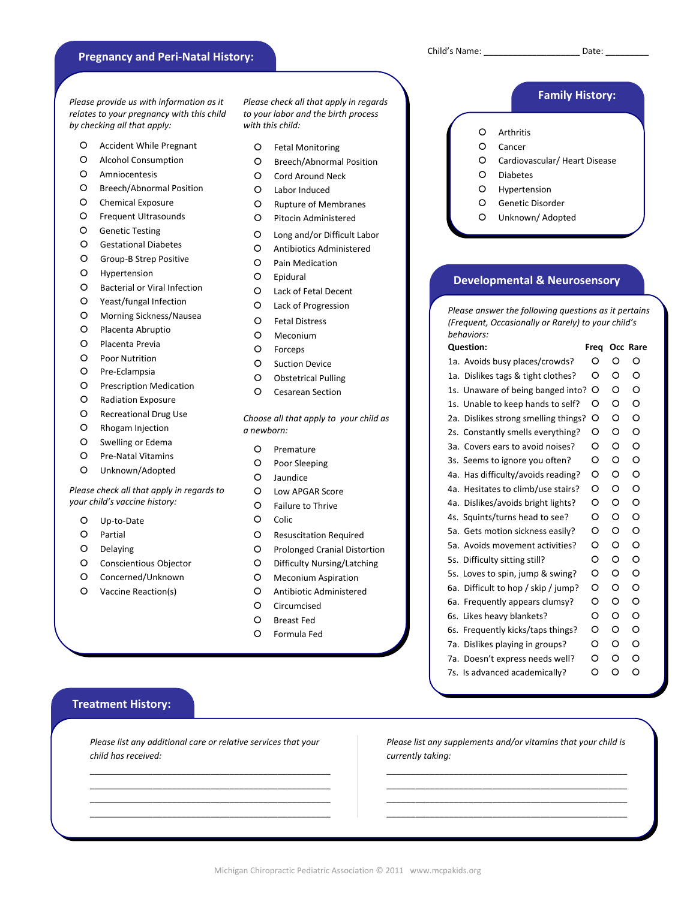# Child's Name: \_\_\_\_\_\_\_\_\_\_\_\_\_\_\_\_\_\_\_\_ Date: \_\_\_\_\_\_\_\_\_  **Pregnancy and Peri‐Natal History:**

*Please provide us with information as it relates to your pregnancy with this child by checking all that apply:*

- O Accident While Pregnant  $\overline{O}$  Fetal Monitoring  $\overline{O}$  Cancer
- 
- 
- | Breech/Abnormal Position | Hypertension
- O Chemical Exposure  $\overline{O}$  Rupture of Membranes  $\overline{O}$  Genetic Disorder
- O Frequent Ultrasounds C Pitocin Administered C Dinknown/ Adopted
- | Genetic Testing
- | Gestational Diabetes
- O Group-B Strep Positive
- O Hypertension
- O Bacterial or Viral Infection
- | Yeast/fungal Infection
- O Morning Sickness/Nausea
- O Placenta Abruptio
- O Placenta Previa
- | Poor Nutrition
- O Pre-Eclampsia
- O Prescription Medication
- | Radiation Exposure
- O Recreational Drug Use
- | Rhogam Injection
- O Swelling or Edema
- O Pre-Natal Vitamins
- O Unknown/Adopted

#### *Please check all that apply in regards to your child's vaccine history:*

- O Up-to-Date
- O Partial
- O Delaying
- O Conscientious Objector
- O Concerned/Unknown
- | Vaccine Reaction(s)

*Please check all that apply in regards to your labor and the birth process with this child:*

- Fetal Monitoring
- | Breech/Abnormal Position
- O Amniocentesis **D** Cord Around Neck **Diabetes D** Diabetes
	- | Labor Induced
	- | Rupture of Membranes
	-
	- | Long and/or Difficult Labor
	- O Antibiotics Administered
	- | Pain Medication
	- | Epidural
	- | Lack of Fetal Decent
	- | Lack of Progression
	- | Fetal Distress
	- O Meconium
	- | Forceps
	- O Suction Device
	- O Obstetrical Pulling
	- O Cesarean Section

*Choose all that apply to your child as a newborn:*

- O Premature
- O Poor Sleeping
- O Jaundice
- | Low APGAR Score
- | Failure to Thrive
- O Colic
- O Resuscitation Required
- O Prolonged Cranial Distortion
- | Difficulty Nursing/Latching
- | Meconium Aspiration
- O Antibiotic Administered
- O Circumcised
- | Breast Fed
- | Formula Fed

# **Family History:**

- | Arthritis
- 
- O Alcohol Consumption **O Breech/Abnormal Position C** Cardiovascular/ Heart Disease
	-
	-
	-
	-

# **Developmental & Neurosensory**

*Please answer the following questions as it pertains (Frequent, Occasionally or Rarely) to your child's behaviors:*

| <b>Question:</b>                     |  | Freq |   | Occ Rare |
|--------------------------------------|--|------|---|----------|
| 1a. Avoids busy places/crowds?       |  | O    | O | O        |
| 1a. Dislikes tags & tight clothes?   |  | O    | O | O        |
| 1s. Unaware of being banged into?    |  | O    | O | O        |
| 1s. Unable to keep hands to self?    |  | O    | O | O        |
| 2a. Dislikes strong smelling things? |  | O    | O | O        |
| 2s. Constantly smells everything?    |  | O    | O | O        |
| 3a. Covers ears to avoid noises?     |  | O    | O | $\circ$  |
| 3s. Seems to ignore you often?       |  | O    | O | O        |
| 4a. Has difficulty/avoids reading?   |  | O    | O | O        |
| 4a. Hesitates to climb/use stairs?   |  | O    | O | O        |
| 4a. Dislikes/avoids bright lights?   |  | O    | O | O        |
| 4s. Squints/turns head to see?       |  | O    | O | O        |
| 5a. Gets motion sickness easily?     |  | O    | O | O        |
| 5a. Avoids movement activities?      |  | O    | O | O        |
| 5s. Difficulty sitting still?        |  | O    | O | O        |
| 5s. Loves to spin, jump & swing?     |  | O    | O | O        |
| 6a. Difficult to hop / skip / jump?  |  | O    | O | O        |
| 6a. Frequently appears clumsy?       |  | O    | O | O        |
| 6s. Likes heavy blankets?            |  | O    | O | O        |
| 6s. Frequently kicks/taps things?    |  | O    | O | O        |
| Dislikes playing in groups?<br>7а.   |  | O    | O | O        |
| 7a. Doesn't express needs well?      |  | O    | O | O        |
| 7s. Is advanced academically?        |  | O    | O | O        |

# **Treatment History:**

*Please list any additional care or relative services that your child has received:*

\_\_\_\_\_\_\_\_\_\_\_\_\_\_\_\_\_\_\_\_\_\_\_\_\_\_\_\_\_\_\_\_\_\_\_\_\_\_\_\_\_\_\_\_\_\_\_\_\_\_ \_\_\_\_\_\_\_\_\_\_\_\_\_\_\_\_\_\_\_\_\_\_\_\_\_\_\_\_\_\_\_\_\_\_\_\_\_\_\_\_\_\_\_\_\_\_\_\_\_\_ \_\_\_\_\_\_\_\_\_\_\_\_\_\_\_\_\_\_\_\_\_\_\_\_\_\_\_\_\_\_\_\_\_\_\_\_\_\_\_\_\_\_\_\_\_\_\_\_\_\_ \_\_\_\_\_\_\_\_\_\_\_\_\_\_\_\_\_\_\_\_\_\_\_\_\_\_\_\_\_\_\_\_\_\_\_\_\_\_\_\_\_\_\_\_\_\_\_\_\_\_ *Please list any supplements and/or vitamins that your child is currently taking:* \_\_\_\_\_\_\_\_\_\_\_\_\_\_\_\_\_\_\_\_\_\_\_\_\_\_\_\_\_\_\_\_\_\_\_\_\_\_\_\_\_\_\_\_\_\_\_\_\_\_

\_\_\_\_\_\_\_\_\_\_\_\_\_\_\_\_\_\_\_\_\_\_\_\_\_\_\_\_\_\_\_\_\_\_\_\_\_\_\_\_\_\_\_\_\_\_\_\_\_\_ \_\_\_\_\_\_\_\_\_\_\_\_\_\_\_\_\_\_\_\_\_\_\_\_\_\_\_\_\_\_\_\_\_\_\_\_\_\_\_\_\_\_\_\_\_\_\_\_\_\_ \_\_\_\_\_\_\_\_\_\_\_\_\_\_\_\_\_\_\_\_\_\_\_\_\_\_\_\_\_\_\_\_\_\_\_\_\_\_\_\_\_\_\_\_\_\_\_\_\_\_